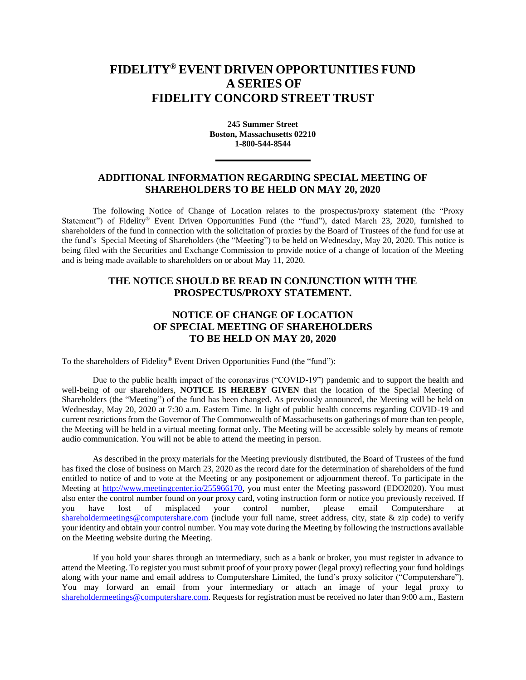## **FIDELITY® EVENT DRIVEN OPPORTUNITIES FUND A SERIES OF FIDELITY CONCORD STREET TRUST**

**245 Summer Street Boston, Massachusetts 02210 1-800-544-8544**

## **ADDITIONAL INFORMATION REGARDING SPECIAL MEETING OF SHAREHOLDERS TO BE HELD ON MAY 20, 2020**

The following Notice of Change of Location relates to the prospectus/proxy statement (the "Proxy Statement") of Fidelity® Event Driven Opportunities Fund (the "fund"), dated March 23, 2020, furnished to shareholders of the fund in connection with the solicitation of proxies by the Board of Trustees of the fund for use at the fund's Special Meeting of Shareholders (the "Meeting") to be held on Wednesday, May 20, 2020. This notice is being filed with the Securities and Exchange Commission to provide notice of a change of location of the Meeting and is being made available to shareholders on or about May 11, 2020.

## **THE NOTICE SHOULD BE READ IN CONJUNCTION WITH THE PROSPECTUS/PROXY STATEMENT.**

## **NOTICE OF CHANGE OF LOCATION OF SPECIAL MEETING OF SHAREHOLDERS TO BE HELD ON MAY 20, 2020**

To the shareholders of Fidelity® Event Driven Opportunities Fund (the "fund"):

Due to the public health impact of the coronavirus ("COVID-19") pandemic and to support the health and well-being of our shareholders, **NOTICE IS HEREBY GIVEN** that the location of the Special Meeting of Shareholders (the "Meeting") of the fund has been changed. As previously announced, the Meeting will be held on Wednesday, May 20, 2020 at 7:30 a.m. Eastern Time. In light of public health concerns regarding COVID-19 and current restrictions from the Governor of The Commonwealth of Massachusetts on gatherings of more than ten people, the Meeting will be held in a virtual meeting format only. The Meeting will be accessible solely by means of remote audio communication. You will not be able to attend the meeting in person.

As described in the proxy materials for the Meeting previously distributed, the Board of Trustees of the fund has fixed the close of business on March 23, 2020 as the record date for the determination of shareholders of the fund entitled to notice of and to vote at the Meeting or any postponement or adjournment thereof. To participate in the Meeting at [http://www.meetingcenter.io/255966170,](http://www.meetingcenter.io/255966170) you must enter the Meeting password (EDO2020). You must also enter the control number found on your proxy card, voting instruction form or notice you previously received. If you have lost of misplaced your control number, please email Computershare at [shareholdermeetings@computershare.com](mailto:shareholdermeetings@computershare.com) (include your full name, street address, city, state & zip code) to verify your identity and obtain your control number. You may vote during the Meeting by following the instructions available on the Meeting website during the Meeting.

If you hold your shares through an intermediary, such as a bank or broker, you must register in advance to attend the Meeting. To register you must submit proof of your proxy power (legal proxy) reflecting your fund holdings along with your name and email address to Computershare Limited, the fund's proxy solicitor ("Computershare"). You may forward an email from your intermediary or attach an image of your legal proxy to [shareholdermeetings@computershare.com.](mailto:shareholdermeetings@computershare.com) Requests for registration must be received no later than 9:00 a.m., Eastern